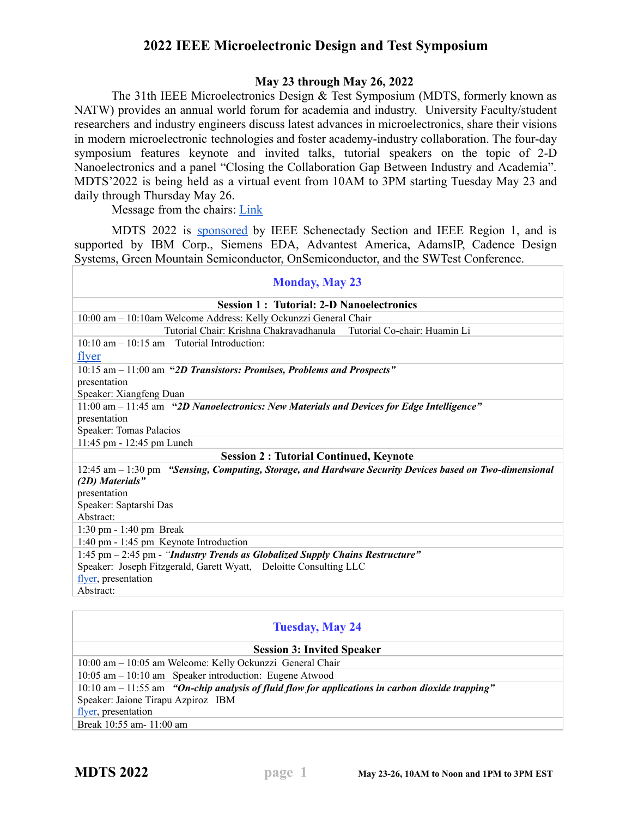## **2022 IEEE Microelectronic Design and Test Symposium**

## **May 23 through May 26, 2022**

The 31th IEEE Microelectronics Design & Test Symposium (MDTS, formerly known as NATW) provides an annual world forum for academia and industry. University Faculty/student researchers and industry engineers discuss latest advances in microelectronics, share their visions in modern microelectronic technologies and foster academy-industry collaboration. The four-day symposium features keynote and invited talks, tutorial speakers on the topic of 2-D Nanoelectronics and a panel "Closing the Collaboration Gap Between Industry and Academia". MDTS'2022 is being held as a virtual event from 10AM to 3PM starting Tuesday May 23 and daily through Thursday May 26.

Message from the chairs: **[Link](https://drive.google.com/file/d/1iyH0VbsAIKojopGv01Vd6sEyJhAKhs8c/view?usp=sharing)** 

MDTS 2022 is [sponsored](https://drive.google.com/file/d/1WTMigDFuu1NFjOnsPpT5lEa2_CKDnuKt/view?usp=sharing) by IEEE Schenectady Section and IEEE Region 1, and is supported by IBM Corp., Siemens EDA, Advantest America, AdamsIP, Cadence Design Systems, Green Mountain Semiconductor, OnSemiconductor, and the SWTest Conference.

| <b>Monday, May 23</b>                                                                                   |  |  |
|---------------------------------------------------------------------------------------------------------|--|--|
| <b>Session 1: Tutorial: 2-D Nanoelectronics</b>                                                         |  |  |
| 10:00 am - 10:10am Welcome Address: Kelly Ockunzzi General Chair                                        |  |  |
| Tutorial Chair: Krishna Chakravadhanula<br>Tutorial Co-chair: Huamin Li                                 |  |  |
| $10:10 \text{ am} - 10:15 \text{ am}$ Tutorial Introduction:                                            |  |  |
| flyer                                                                                                   |  |  |
| 10:15 am - 11:00 am "2D Transistors: Promises, Problems and Prospects"                                  |  |  |
| presentation                                                                                            |  |  |
| Speaker: Xiangfeng Duan                                                                                 |  |  |
| 11:00 am - 11:45 am "2D Nanoelectronics: New Materials and Devices for Edge Intelligence"               |  |  |
| presentation                                                                                            |  |  |
| Speaker: Tomas Palacios                                                                                 |  |  |
| 11:45 pm - 12:45 pm Lunch                                                                               |  |  |
| <b>Session 2: Tutorial Continued, Keynote</b>                                                           |  |  |
| 12:45 am – 1:30 pm "Sensing, Computing, Storage, and Hardware Security Devices based on Two-dimensional |  |  |
| (2D) Materials"                                                                                         |  |  |
| presentation                                                                                            |  |  |
| Speaker: Saptarshi Das                                                                                  |  |  |
| Abstract:                                                                                               |  |  |
| $1:30 \text{ pm} - 1:40 \text{ pm}$ Break                                                               |  |  |
| 1:40 pm - 1:45 pm Keynote Introduction                                                                  |  |  |
| 1:45 pm $-$ 2:45 pm - "Industry Trends as Globalized Supply Chains Restructure"                         |  |  |
| Speaker: Joseph Fitzgerald, Garett Wyatt, Deloitte Consulting LLC                                       |  |  |
| flyer, presentation                                                                                     |  |  |
| Abstract:                                                                                               |  |  |
|                                                                                                         |  |  |

| <b>Tuesday, May 24</b>                                                                              |  |  |
|-----------------------------------------------------------------------------------------------------|--|--|
| <b>Session 3: Invited Speaker</b>                                                                   |  |  |
| 10:00 am – 10:05 am Welcome: Kelly Ockunzzi General Chair                                           |  |  |
| $10:05$ am $-10:10$ am Speaker introduction: Eugene Atwood                                          |  |  |
| $10:10$ am $-11:55$ am "On-chip analysis of fluid flow for applications in carbon dioxide trapping" |  |  |
| Speaker: Jaione Tirapu Azpiroz IBM                                                                  |  |  |
| flyer, presentation                                                                                 |  |  |
| Break 10:55 am - 11:00 am                                                                           |  |  |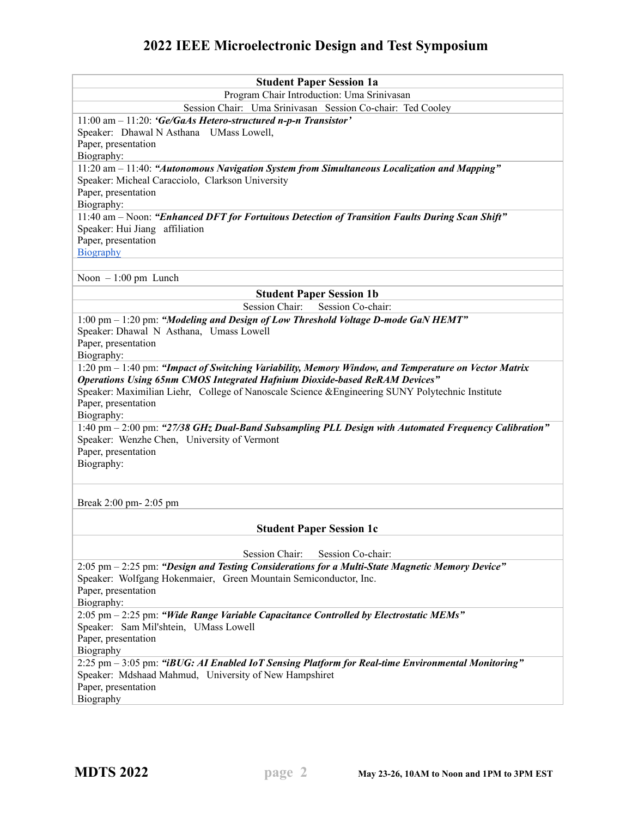## **2022 IEEE Microelectronic Design and Test Symposium**

| <b>Student Paper Session 1a</b>                                                                                                                 |
|-------------------------------------------------------------------------------------------------------------------------------------------------|
| Program Chair Introduction: Uma Srinivasan                                                                                                      |
| Session Chair: Uma Srinivasan Session Co-chair: Ted Cooley                                                                                      |
| 11:00 am $-$ 11:20: 'Ge/GaAs Hetero-structured n-p-n Transistor'                                                                                |
| Speaker: Dhawal N Asthana UMass Lowell,                                                                                                         |
| Paper, presentation                                                                                                                             |
| Biography:                                                                                                                                      |
| 11:20 am - 11:40: "Autonomous Navigation System from Simultaneous Localization and Mapping"<br>Speaker: Micheal Caracciolo, Clarkson University |
| Paper, presentation                                                                                                                             |
| Biography:                                                                                                                                      |
| 11:40 am - Noon: "Enhanced DFT for Fortuitous Detection of Transition Faults During Scan Shift"                                                 |
| Speaker: Hui Jiang affiliation                                                                                                                  |
| Paper, presentation                                                                                                                             |
| Biography                                                                                                                                       |
|                                                                                                                                                 |
| Noon $-1:00$ pm Lunch                                                                                                                           |
| <b>Student Paper Session 1b</b>                                                                                                                 |
| <b>Session Chair:</b><br>Session Co-chair:                                                                                                      |
| 1:00 pm - 1:20 pm: "Modeling and Design of Low Threshold Voltage D-mode GaN HEMT"                                                               |
| Speaker: Dhawal N Asthana, Umass Lowell<br>Paper, presentation                                                                                  |
| Biography:                                                                                                                                      |
| 1:20 pm - 1:40 pm: "Impact of Switching Variability, Memory Window, and Temperature on Vector Matrix                                            |
| <b>Operations Using 65nm CMOS Integrated Hafnium Dioxide-based ReRAM Devices"</b>                                                               |
| Speaker: Maximilian Liehr, College of Nanoscale Science & Engineering SUNY Polytechnic Institute                                                |
| Paper, presentation                                                                                                                             |
| Biography:                                                                                                                                      |
| 1:40 pm - 2:00 pm: "27/38 GHz Dual-Band Subsampling PLL Design with Automated Frequency Calibration"                                            |
| Speaker: Wenzhe Chen, University of Vermont                                                                                                     |
| Paper, presentation                                                                                                                             |
| Biography:                                                                                                                                      |
|                                                                                                                                                 |
| Break 2:00 pm- 2:05 pm                                                                                                                          |
|                                                                                                                                                 |
| <b>Student Paper Session 1c</b>                                                                                                                 |
|                                                                                                                                                 |
| Session Chair:<br>Session Co-chair:                                                                                                             |
| 2:05 pm - 2:25 pm: "Design and Testing Considerations for a Multi-State Magnetic Memory Device"                                                 |
| Speaker: Wolfgang Hokenmaier, Green Mountain Semiconductor, Inc.                                                                                |
| Paper, presentation                                                                                                                             |
| Biography:                                                                                                                                      |
| $2:05$ pm $-2:25$ pm: "Wide Range Variable Capacitance Controlled by Electrostatic MEMs"<br>Speaker: Sam Mil'shtein, UMass Lowell               |
| Paper, presentation                                                                                                                             |
| Biography                                                                                                                                       |
| 2:25 pm - 3:05 pm: "iBUG: AI Enabled IoT Sensing Platform for Real-time Environmental Monitoring"                                               |
| Speaker: Mdshaad Mahmud, University of New Hampshiret                                                                                           |
| Paper, presentation                                                                                                                             |
| Biography                                                                                                                                       |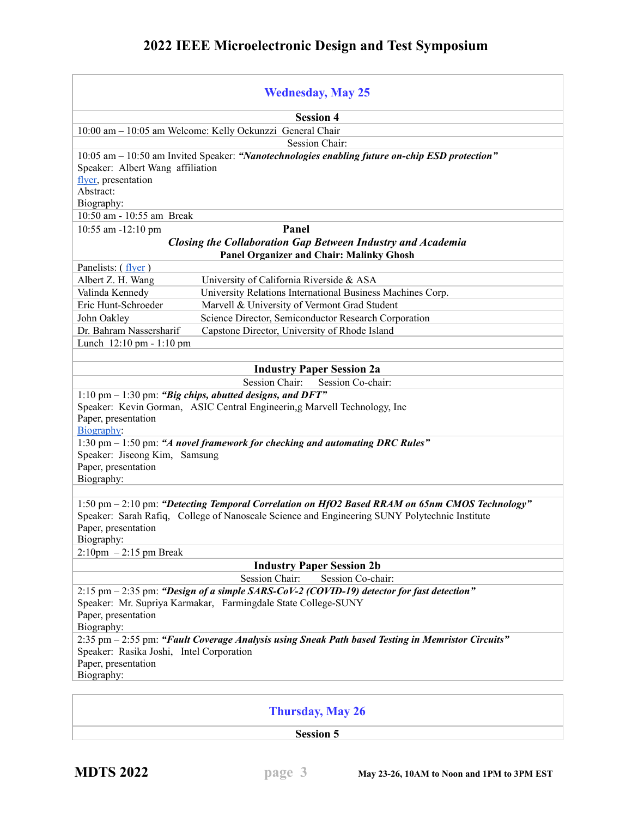|                                                                                                                                                                                                                                                                                 | <b>Wednesday, May 25</b>                                                                                                                                      |  |
|---------------------------------------------------------------------------------------------------------------------------------------------------------------------------------------------------------------------------------------------------------------------------------|---------------------------------------------------------------------------------------------------------------------------------------------------------------|--|
|                                                                                                                                                                                                                                                                                 | <b>Session 4</b>                                                                                                                                              |  |
|                                                                                                                                                                                                                                                                                 | 10:00 am - 10:05 am Welcome: Kelly Ockunzzi General Chair                                                                                                     |  |
|                                                                                                                                                                                                                                                                                 | Session Chair:                                                                                                                                                |  |
| Speaker: Albert Wang affiliation<br>flyer, presentation<br>Abstract:<br>Biography:<br>10:50 am - 10:55 am Break                                                                                                                                                                 | $10:05$ am $-10:50$ am Invited Speaker: "Nanotechnologies enabling future on-chip ESD protection"                                                             |  |
| 10:55 am -12:10 pm                                                                                                                                                                                                                                                              | Panel                                                                                                                                                         |  |
|                                                                                                                                                                                                                                                                                 | Closing the Collaboration Gap Between Industry and Academia                                                                                                   |  |
|                                                                                                                                                                                                                                                                                 | <b>Panel Organizer and Chair: Malinky Ghosh</b>                                                                                                               |  |
| Panelists: (flyer)                                                                                                                                                                                                                                                              |                                                                                                                                                               |  |
| Albert Z. H. Wang                                                                                                                                                                                                                                                               | University of California Riverside & ASA                                                                                                                      |  |
| Valinda Kennedy                                                                                                                                                                                                                                                                 | University Relations International Business Machines Corp.                                                                                                    |  |
| Eric Hunt-Schroeder                                                                                                                                                                                                                                                             | Marvell & University of Vermont Grad Student                                                                                                                  |  |
| John Oakley                                                                                                                                                                                                                                                                     | Science Director, Semiconductor Research Corporation                                                                                                          |  |
| Dr. Bahram Nassersharif                                                                                                                                                                                                                                                         | Capstone Director, University of Rhode Island                                                                                                                 |  |
| Lunch 12:10 pm - 1:10 pm                                                                                                                                                                                                                                                        |                                                                                                                                                               |  |
|                                                                                                                                                                                                                                                                                 |                                                                                                                                                               |  |
|                                                                                                                                                                                                                                                                                 | <b>Industry Paper Session 2a</b>                                                                                                                              |  |
|                                                                                                                                                                                                                                                                                 | Session Chair:<br>Session Co-chair:                                                                                                                           |  |
| Paper, presentation<br>Biography:                                                                                                                                                                                                                                               | 1:10 pm $-$ 1:30 pm: "Big chips, abutted designs, and DFT"<br>Speaker: Kevin Gorman, ASIC Central Engineerin,g Marvell Technology, Inc                        |  |
| Speaker: Jiseong Kim, Samsung<br>Paper, presentation<br>Biography:                                                                                                                                                                                                              | 1:30 pm $-$ 1:50 pm: "A novel framework for checking and automating DRC Rules"                                                                                |  |
| 1:50 pm - 2:10 pm: "Detecting Temporal Correlation on HfO2 Based RRAM on 65nm CMOS Technology"<br>Speaker: Sarah Rafiq, College of Nanoscale Science and Engineering SUNY Polytechnic Institute<br>Paper, presentation<br>Biography:<br>$2:10 \text{pm} - 2:15 \text{pm}$ Break |                                                                                                                                                               |  |
|                                                                                                                                                                                                                                                                                 | <b>Industry Paper Session 2b</b>                                                                                                                              |  |
|                                                                                                                                                                                                                                                                                 | <b>Session Chair:</b><br>Session Co-chair:                                                                                                                    |  |
| Paper, presentation<br>Biography:                                                                                                                                                                                                                                               | $2:15$ pm $-2:35$ pm: "Design of a simple SARS-CoV-2 (COVID-19) detector for fast detection"<br>Speaker: Mr. Supriya Karmakar, Farmingdale State College-SUNY |  |
| Speaker: Rasika Joshi, Intel Corporation<br>Paper, presentation<br>Biography:                                                                                                                                                                                                   | 2:35 pm - 2:55 pm: "Fault Coverage Analysis using Sneak Path based Testing in Memristor Circuits"                                                             |  |
|                                                                                                                                                                                                                                                                                 | <b>Thursday, May 26</b>                                                                                                                                       |  |

**Session 5**